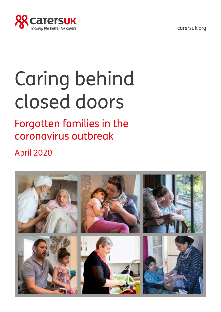[carersuk.org](http://carersuk.org)



# Caring behind closed doors

## Forgotten families in the coronavirus outbreak

April 2020

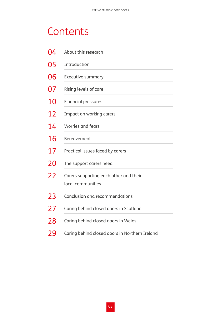## **Contents**

| 04 | About this research                                         |
|----|-------------------------------------------------------------|
| 05 | Introduction                                                |
| 06 | <b>Executive summary</b>                                    |
| 07 | Rising levels of care                                       |
| 10 | <b>Financial pressures</b>                                  |
| 12 | Impact on working carers                                    |
| 14 | Worries and fears                                           |
| 16 | <b>Bereavement</b>                                          |
| 17 | Practical issues faced by carers                            |
| 20 | The support carers need                                     |
| 22 | Carers supporting each other and their<br>local communities |
| 23 | Conclusion and recommendations                              |
| 27 | Caring behind closed doors in Scotland                      |
| 28 | Caring behind closed doors in Wales                         |
| 29 | Caring behind closed doors in Northern Ireland              |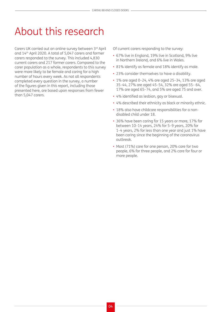## <span id="page-3-0"></span>About this research

Carers UK carried out an online survey between 3<sup>rd</sup> April and 14th April 2020. A total of 5,047 carers and former carers responded to the survey. This included 4,830 current carers and 217 former carers. Compared to the carer population as a whole, respondents to this survey were more likely to be female and caring for a high number of hours every week. As not all respondents completed every question in the survey, a number of the figures given in this report, including those presented here, are based upon responses from fewer than 5,047 carers.

Of current carers responding to the survey:

- 67% live in England, 19% live in Scotland, 9% live in Northern Ireland, and 6% live in Wales.
- 81% identify as female and 18% identify as male.
- 23% consider themselves to have a disability.
- 1% are aged 0–24, 4% are aged 25–34, 13% are aged 35–44, 27% are aged 45–54, 32% are aged 55– 64, 17% are aged 65–74, and 5% are aged 75 and over.
- 4% identified as lesbian, gay or bisexual.
- 4% described their ethnicity as black or minority ethnic.
- 18% also have childcare responsibilities for a nondisabled child under 18.
- 36% have been caring for 15 years or more, 17% for between 10–14 years, 24% for 5–9 years, 20% for 1–4 years, 2% for less than one year and just 1% have been caring since the beginning of the coronavirus outbreak.
- Most (71%) care for one person, 20% care for two people, 6% for three people, and 2% care for four or more people.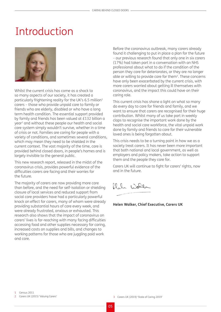### <span id="page-4-0"></span>Introduction



Whilst the current crisis has come as a shock to so many aspects of our society, it has created a particularly frightening reality for the UK's 6.5 million<sup>1</sup> carers – those who provide unpaid care to family or friends who are elderly, disabled or who have a long term health condition. The essential support provided by family and friends has been valued at £132 billion a year2 and without these people our health and social care system simply wouldn't survive, whether in a time of crisis or not. Families are caring for people with a variety of conditions, and sometimes several conditions, which may mean they need to be shielded in the current context. The vast majority of the time, care is provided behind closed doors, in people's homes and is largely invisible to the general public.

This new research report, released in the midst of the coronavirus crisis, provides powerful evidence of the difficulties carers are facing and their worries for the future.

The majority of carers are now providing more care than before, and the need for self-isolation or shielding closure of local services and reduced support from social care providers have had a particularly powerful knock on effect for carers, many of whom were already providing substantial hours of care every week, and were already frustrated, anxious or exhausted. This research also shows that the impact of coronavirus on carers' lives is far-reaching with many facing difficulties accessing food and other supplies necessary for caring, increased costs on supplies and bills, and changes to working patterns for those who are juggling paid work and care.

Before the coronavirus outbreak, many carers already found it challenging to put in place a plan for the future – our previous research found that only one in six carers (17%) had taken part in a conversation with an NHS professional about what to do if the condition of the person they care for deteriorates, or they are no longer able or willing to provide care for them<sup>3</sup>. These concerns have only been exacerbated by the current crisis, with more carers worried about getting ill themselves with coronavirus, and the impact this could have on their caring role.

This current crisis has shone a light on what so many do every day to care for friends and family, and we want to ensure that carers are recognised for their huge contribution. Whilst many of us take part in weekly claps to recognise the important work done by the health and social care workforce, the vital unpaid work done by family and friends to care for their vulnerable loved ones is being forgotten about.

This crisis needs to be a turning point in how we as a society treat carers. It has never been more important that both national and local government, as well as employers and policy makers, take action to support them and the people they care for.

Carers UK will continue to fight for carers' rights, now and in the future.

Wolle 20. O.

**Helen Walker, Chief Executive, Carers UK**

3 Carers UK (2019) 'State of Caring 2019'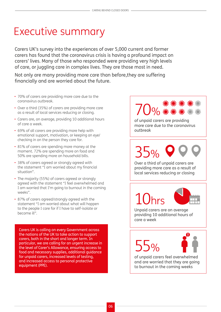## <span id="page-5-0"></span>Executive summary

Carers UK's survey into the experiences of over 5,000 current and former carers has found that the coronavirus crisis is having a profound impact on carers' lives. Many of those who responded were providing very high levels of care, or juggling care in complex lives. They are those most in need.

Not only are many providing more care than before,they are suffering financially and are worried about the future.

- 70% of carers are providing more care due to the coronavirus outbreak.
- Over a third (35%) of carers are providing more care as a result of local services reducing or closing.
- Carers are, on average, providing 10 additional hours of care a week.
- 69% of all carers are providing more help with emotional support, motivation, or keeping an eye/ checking in on the person they care for.
- 81% of carers are spending more money at the moment. 72% are spending more on food and 50% are spending more on household bills.
- 38% of carers agreed or strongly agreed with the statement "I am worried about my financial situation".
- The majority (55%) of carers agreed or strongly agreed with the statement "I feel overwhelmed and I am worried that I'm going to burnout in the coming weeks".
- 87% of carers agreed/strongly agreed with the statement "I am worried about what will happen to the people I care for if I have to self-isolate or become ill".

Carers UK is calling on every Government across the nations of the UK to take action to support carers, both in the short and longer term. In particular, we are calling for an urgent increase in the level of Carer's Allowance, ensuring access to food and necessary supplies, additional guidance for unpaid carers, increased levels of testing, and increased access to personal protective equipment (PPE).

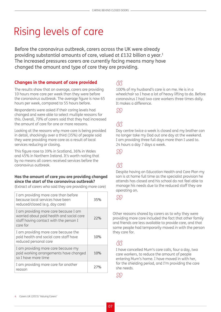## <span id="page-6-0"></span>Rising levels of care

Before the coronavirus outbreak, carers across the UK were already providing substantial amounts of care, valued at £132 billion a year.<sup>1</sup> The increased pressures carers are currently facing means many have changed the amount and type of care they are providing.

#### **Changes in the amount of care provided**

The results show that on average, carers are providing 10 hours more care per week than they were before the coronavirus outbreak. The average figure is now 65 hours per week, compared to 55 hours before.

Respondents were asked if their caring levels had changed and were able to select multiple reasons for this. Overall, 70% of carers said that they had increased the amount of care for one or more reasons.

Looking at the reasons why more care is being provided in detail, shockingly over a third (35%) of people said they were providing more care as a result of local services reducing or closing.

This figure rose to 39% in Scotland, 36% in Wales and 45% in Northern Ireland. It's worth noting that by no means all carers received services before the coronavirus outbreak.

#### **Has the amount of care you are providing changed since the start of the coronavirus outbreak?**

(Extract of carers who said they are providing more care)

| I am providing more care than before<br>because local services have been<br>reduced/closed (e.g. day care)                               | 35% |
|------------------------------------------------------------------------------------------------------------------------------------------|-----|
| I am providing more care because I am<br>worried about paid health and social care<br>staff having contact with the person I<br>care for | 22% |
| I am providing more care because the<br>paid health and social care staff have<br>reduced personal care                                  | 10% |
| I am providing more care because my<br>paid working arrangements have changed<br>so I have more time                                     | 10% |
| I am providing more care for another<br>reason                                                                                           | 27% |

#### <sup>RR</sup>

100% of my husband's care is on me. He is in a wheelchair so I have a lot of heavy lifting to do. Before coronavirus I had two care workers three times daily. It makes a difference.

 $\{35\}$ 

#### <sup>"</sup>

Day centre twice a week is closed and my brother can no longer take my Dad out one day at the weekend. I am providing three full days more than I used to. 24 hours a day 7 days a week.

M)

" Despite having an Education Health and Care Plan my son is at home full time as the specialist provision he attends has closed and his school do not feel able to manage his needs due to the reduced staff they are operating on.

**SSS** 

Other reasons shared by carers as to why they were providing more care included the fact that other family and friends are less available to provide care, and that some people had temporarily moved in with the person they care for.

#### <sup>"</sup>

I have cancelled Mum's care calls, four a day, two care workers, to reduce the amount of people entering Mum's home. I have moved in with her, for the shielding period, and I'm providing the care she needs.

SSS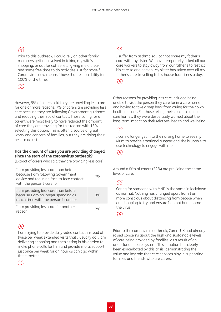### <sup>"</sup>

Prior to this outbreak, I could rely on other family members getting involved in taking my wife's shopping, or out for coffee, etc, giving me a break and some free time to do activities just for myself. Coronavirus now means I have that responsibility for 100% of the time.

#### $\mathcal{S}(\mathcal{S})$

However, 9% of carers said they are providing less care for one or more reasons. 7% of carers are providing less care because they are following Government guidance and reducing their social contact. Those caring for a parent were most likely to have reduced the amount of care they are providing for this reason with 13% selecting this option. This is often a source of great worry and concern of families, but they are doing their best to adjust.

#### **Has the amount of care you are providing changed since the start of the coronavirus outbreak?**

(Extract of carers who said they are providing less care)

|                                                                                                                    | 7% |
|--------------------------------------------------------------------------------------------------------------------|----|
| I am providing less care than before<br>because I am no longer spending as<br>much time with the person I care for | 3% |
| I am providing less care for another<br>reason                                                                     | 7% |

#### RR

I am trying to provide daily video contact instead of twice per week extended visits that I usually do. I am delivering shopping and then sitting in his garden to make phone calls for him and provide moral support just once per week for an hour as can't go within three metres.

#### $\mathcal{S}(\mathcal{S})$

### <sup>"</sup>

I suffer from asthma so I cannot share my father's care with my sister. We have temporarily asked all our care workers to stay away from our father's to restrict his care to one person. My sister has taken over all my father's care travelling to his house four times a day.

 $\{3\}\$ 

Other reasons for providing less care included being unable to visit the person they care for in a care home and having to take a step back from caring for their own health reasons. For those telling their concerns about care homes, they were desperately worried about the long-term impact on their relatives' health and wellbeing.

" I can no longer get in to the nursing home to see my Mum to provide emotional support and she is unable to use technology to engage with me.

#### $\sum$

Around a fifth of carers (22%) are providing the same level of care.

#### (3(3

Caring for someone with MND is the same in lockdown as normal. Nothing has changed apart from I am more conscious about distancing from people when out shopping to try and ensure I do not bring home the virus.

#### M

Prior to the coronavirus outbreak, Carers UK had already raised concerns about the high and sustainable levels of care being provided by families, as a result of an underfunded care system. This situation has clearly been exacerbated by this crisis, demonstrating the value and key role that care services play in supporting families and friends who are carers.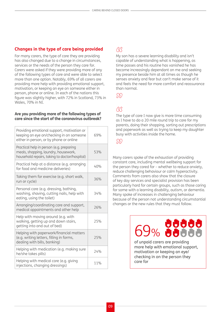#### **Changes in the type of care being provided**

For many carers, the type of care they are providing has also changed due to a change in circumstances, services or the needs of the person they care for. Carers were asked if they were providing more of any of the following types of care and were able to select more than one option. Notably, 69% of all carers are providing more help with providing emotional support, motivation, or keeping an eye on someone either in person, phone or online. In each of the nations this figure was slightly higher, with 72% in Scotland, 73% in Wales, 70% in NI.

#### **Are you providing more of the following types of care since the start of the coronavirus outbreak?**

| Providing emotional support, motivation or<br>keeping an eye on/checking in on someone<br>either in person, or by phone or online | 69% |
|-----------------------------------------------------------------------------------------------------------------------------------|-----|
| Practical help in person (e.g. preparing<br>meals, shopping, laundry, housework,<br>household repairs, taking to doctor/hospital) | 53% |
| Practical help at a distance (e.g. arranging<br>for food and medicine deliveries)                                                 | 40% |
| Taking them for exercise (e.g. short walk,<br>run or cycle)                                                                       | 36% |
| Personal care (e.g. dressing, bathing,<br>washing, shaving, cutting nails, help with<br>eating, using the toilet)                 | 34% |
| Arranging/coordinating care and support,<br>medical appointments and other help                                                   | 76% |
| Help with moving around (e.g. with<br>walking, getting up and down stairs,<br>getting into and out of bed)                        | 25% |
| Helping with paperwork/financial matters<br>(e.g. writing letters, filling in forms,<br>dealing with bills, banking)              | 25% |
| Helping with medication (e.g. making sure<br>he/she takes pills)                                                                  | 74% |
| Helping with medical care (e.g. giving<br>injections, changing dressings)                                                         | 11% |

### <sup>"</sup>

My son has a severe learning disability and isn't capable of understanding what is happening, as time passes and his routine has vanished he has become increasingly dependant on me and seeking my presence beside him at all times as though he senses anxiety and fear but can't make sense of it and feels the need for more comfort and reassurance than normal.

SS)

GG<br>The type of care I now give is more time consuming as I have to do a 20 mile round trip to care for my parents, doing their shopping, sorting out prescriptions and paperwork as well as trying to keep my daughter busy with activities inside the home.

#### DD.

Many carers spoke of the exhaustion of providing constant care, including mental wellbeing support for the person they cared for – whether to reduce anxiety, reduce challenging behaviour or calm hyperactivity. Comments from carers also show that the closure of key day services and specialist provision has been particularly hard for certain groups, such as those caring for some with a learning disability, autism, or dementia. Many spoke of increases in challenging behaviour because of the person not understanding circumstantial changes or the new rules that they must follow.

> 9999 69%

of unpaid carers are providing more help with emotional support, motivation or keeping an eye/ checking in on the person they care for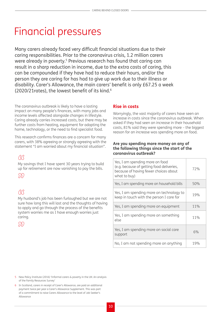## <span id="page-9-0"></span>Financial pressures

Many carers already faced very difficult financial situations due to their caring responsibilities. Prior to the coronavirus crisis, 1.2 million carers were already in poverty.<sup>5</sup> Previous research has found that caring can result in a sharp reduction in income, due to the extra costs of caring, this can be compounded if they have had to reduce their hours, and/or the person they are caring for has had to give up work due to their illness or disability. Carer's Allowance, the main carers' benefit is only £67.25 a week (2020/21rates), the lowest benefit of its kind.<sup>6</sup>

The coronavirus outbreak is likely to have a lasting impact on many people's finances, with many jobs and income levels affected alongside changes in lifestyle. Caring already carries increased costs, but there may be further costs from heating, equipment for adapting the home, technology, or the need to find specialist food.

This research confirms finances are a concern for many carers, with 38% agreeing or strongly agreeing with the statement "I am worried about my financial situation".

" My savings that I have spent 30 years trying to build up for retirement are now vanishing to pay the bills.

<sup>M</sup>

#### <sup>"</sup>

My husband's job has been furloughed but we are not sure how long this will last and the thoughts of having to apply and go through the process of the benefits system worries me as I have enough worries just caring.

DD,

#### **Rise in costs**

Worryingly, the vast majority of carers have seen an increase in costs since the coronavirus outbreak. When asked if they had seen an increase in their household costs, 81% said they were spending more – the biggest reason for an increase was spending more on food.

#### **Are you spending more money on any of the following things since the start of the coronavirus outbreak?**

| Yes, I am spending more on food<br>(e.g. because of getting food deliveries,<br>because of having fewer choices about<br>what to buy) | 72% |
|---------------------------------------------------------------------------------------------------------------------------------------|-----|
| Yes, I am spending more on household bills                                                                                            | 50% |
| Yes, I am spending more on technology to<br>keep in touch with the person I care for                                                  | 19% |
| Yes, I am spending more on equipment                                                                                                  | 11% |
| Yes, I am spending more on something<br>else                                                                                          | 11% |
| Yes, I am spending more on social care<br>support                                                                                     | 6%  |
| No, I am not spending more on anything                                                                                                | 19% |

<sup>5</sup> New Policy Institute (2016) 'Informal carers & poverty in the UK: An analysis of the Family Resources Survey'

<sup>6</sup> In Scotland, carers in receipt of Carer's Allowance, are paid an additional payment twice per year a Carer's Allowance Supplement. This was part of a commitment to raise Carers Allowance to the level of Job Seeker's Allowance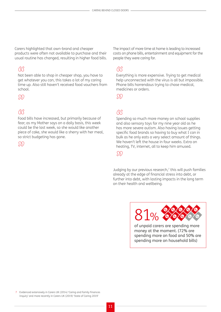Carers highlighted that own-brand and cheaper products were often not available to purchase and their usual routine has changed, resulting in higher food bills.

" Not been able to shop in cheaper shop, you have to get whatever you can, this takes a lot of my caring time up. Also still haven't received food vouchers from school.

#### SS)

#### **RR**

Food bills have increased, but primarily because of fear; as my Mother says on a daily basis, this week could be the last week, so she would like another piece of cake, she would like a sherry with her meal, so strict budgeting has gone.

 $\mathcal{D}\mathcal{D}$ 

The impact of more time at home is leading to increased costs on phone bills, entertainment and equipment for the people they were caring for.

<u>ack</u><br>Everything is more expensive. Trying to get medical<br>. help unconnected with the virus is all but impossible. Phone bills horrendous trying to chase medical, medicines or orders.

M

### RR

Spending so much more money on school supplies and also sensory toys for my nine year old as he has more severe autism. Also having issues getting specific food brands so having to buy what I can in bulk as he only eats a very select amount of things. We haven't left the house in four weeks. Extra on heating, TV, internet, all to keep him amused.

#### <sup>n</sup>

Judging by our previous research, $7$  this will push families already at the edge of financial stress into debt, or further into debt, with lasting impacts in the long term on their health and wellbeing.



of unpaid carers are spending more money at the moment. (72% are spending more on food and 50% are spending more on household bills)

7 Evidenced extensively in Carers UK (2014) 'Caring and Family Finances Inquiry' and more recently in Carers UK (2019) 'State of Caring 2019'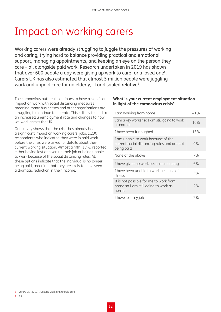## <span id="page-11-0"></span>Impact on working carers

Working carers were already struggling to juggle the pressures of working and caring, trying hard to balance providing practical and emotional support, managing appointments, and keeping an eye on the person they care – all alongside paid work. Research undertaken in 2019 has shown that over 600 people a day were giving up work to care for a loved one<sup>8</sup>. Carers UK has also estimated that almost 5 million people were juggling work and unpaid care for an elderly, ill or disabled relative<sup>9</sup>.

The coronavirus outbreak continues to have a significant impact on work with social distancing measures meaning many businesses and other organisations are struggling to continue to operate. This is likely to lead to an increased unemployment rate and changes to how we work across the UK.

Our survey shows that the crisis has already had a significant impact on working carers' jobs. 1,230 respondents who indicated they were in paid work before the crisis were asked for details about their current working situation. Almost a fifth (17%) reported either having lost or given up their job or being unable to work because of the social distancing rules. All these options indicate that the individual is no longer being paid, meaning that they are likely to have seen a dramatic reduction in their income.

#### **What is your current employment situation in light of the coronavirus crisis?**

| I am working from home                                                                         | 41% |
|------------------------------------------------------------------------------------------------|-----|
| I am a key worker so I am still going to work<br>as normal                                     | 16% |
| I have been furloughed                                                                         | 13% |
| I am unable to work because of the<br>current social distancing rules and am not<br>being paid | 9%  |
| None of the above                                                                              | 7%  |
| I have given up work because of caring                                                         | 6%  |
| I have been unable to work because of<br>illness                                               | 3%  |
| It is not possible for me to work from<br>home so I am still going to work as<br>normal        | 7%  |
| I have lost my job                                                                             | 7%  |

8 Carers UK (2019) 'Juggling work and unpaid care'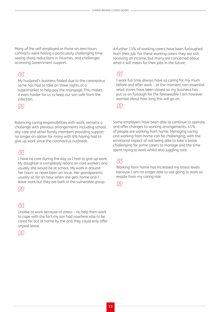Many of the self-employed or those on zero hours contracts were having a particularly challenging time seeing sharp reductions in incomes, and challenges accessing Government support.

#### RR

My husband's business folded due to the coronavirus so he has had to take on three nights at a supermarket to help pay the mortgage. This makes it even harder for us to keep our son safe from the infection.

DD

Balancing caring responsibilities with work, remains a challenge with previous arrangements including school, day care and other family members providing support no longer an option for many with 6% having had to give up work since the coronavirus outbreak.

#### <sup>M</sup>

I have no care during the day so I had to give up work. My daughter is completely reliant on care workers and usually she would be at school. My work is around her hours so never been an issue. Her grandparents usually sit for an hour when she gets home and I leave work but they are both in the vulnerable group.

#### m

#### **M**

Unable to work because of stress – no help from work to cope with the fact my son had nowhere else to be cared for but at home by me and they could only offer unpaid leave.



A further 13% of working carers have been furloughed from their job. For these working carers they are still receiving an income, but many are concerned about what it will mean for their jobs in the future.

" I work full time always have so caring for my mum before and after work – at the moment non-essential retail stores have been closed so my business has put us on furlough for the foreseeable I am however worried about how long this will go on.

 $\mathcal{D}\mathcal{D}$ 

Some employers have been able to continue to operate, and offer changes to working arrangements. 41% of people are working from home. Managing caring and working from home can be challenging, with the emotional impact of not being able to take a break challenging for some carers to manage and the time spent trying to work whilst also juggling care.

### RR

Working from home has increased my stress levels because I am no longer able to use going to work as respite from my caring role.

 $\mathcal{S}(\mathcal{S})$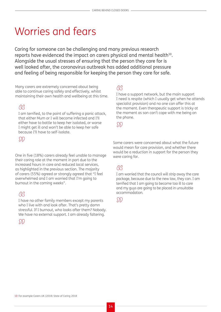## <span id="page-13-0"></span>Worries and fears

Caring for someone can be challenging and many previous research reports have evidenced the impact on carers physical and mental health<sup>10</sup>. Alongside the usual stresses of ensuring that the person they care for is well looked after, the coronavirus outbreak has added additional pressure and feeling of being responsible for keeping the person they care for safe.

Many carers are extremely concerned about being able to continue caring safely and effectively, whilst maintaining their own health and wellbeing at this time.

#### (3(3

I am terrified, to the point of suffering a panic attack, that either Mum or I will become infected and I'll either have to battle to keep her isolated, or worse I might get ill and won't be able to keep her safe because I'll have to self-isolate.

M)

One in five (18%) carers already feel unable to manage their caring role at the moment in part due to the increased hours in care and reduced local services, as highlighted in the previous section. The majority of carers (55%) agreed or strongly agreed that "I feel overwhelmed and I am worried that I'm going to burnout in the coming weeks".

#### **RR**

I have no other family members except my parents who I live with and look after. That's pretty damn stressful. If I burnout, who looks after them? Nobody. We have no external support. I am already faltering.

 $\mathcal{D}\mathcal{D}$ 

### <sup>M</sup>

I have a support network, but the main support I need is respite (which I usually get when he attends specialist provision) and no one can offer this at the moment. Even therapeutic support is tricky at the moment as son can't cope with me being on the phone.

DD.

Some carers were concerned about what the future would mean for care provision, and whether there would be a reduction in support for the person they were caring for.

GG<br>I am worried that the council will strip away the care package, because due to the new law, they can. I am terrified that I am going to become too ill to care and my guys are going to be placed in unsuitable accommodation.

 $\mathcal{S}(\mathcal{S})$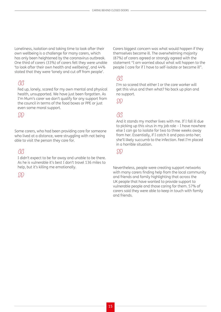Loneliness, isolation and taking time to look after their own wellbeing is a challenge for many carers, which has only been heightened by the coronavirus outbreak. One third of carers (33%) of carers felt they were unable 'to look after their own health and wellbeing', and 44% stated that they were 'lonely and cut off from people'.

#### 88

Fed up, lonely, scared for my own mental and physical health, unsupported. We have just been forgotten. As I'm Mum's carer we don't qualify for any support from the council in terms of the food boxes or PPE or just even some moral support.

#### <sup>M</sup>

Some carers, who had been providing care for someone who lived at a distance, were struggling with not being able to visit the person they care for.

#### <sup>"</sup>

I didn't expect to be far away and unable to be there. As he is vulnerable it's best I don't travel 136 miles to help, but it's killing me emotionally.

#### $\{3\}$

Carers biggest concern was what would happen if they themselves become ill. The overwhelming majority (87%) of carers agreed or strongly agreed with the statement "I am worried about what will happen to the people I care for if I have to self-isolate or become ill".

#### 88

I'm so scared that either I or the care worker will get this virus and then what? No back up plan and no support.

 $\sum$ 

" And it stands my mother lives with me. If I fall ill due to picking up this virus in my job role – I have nowhere else I can go to isolate for two to three weeks away from her. Essentially, if I catch it and pass onto her; she'll likely succumb to the infection. Feel I'm placed in a horrible situation.

#### $\mathcal{D}\mathcal{D}$

Nevertheless, people were creating support networks with many carers finding help from the local community and friends and family highlighting that across the UK people that have wanted to provide support to vulnerable people and those caring for them. 57% of carers said they were able to keep in touch with family and friends.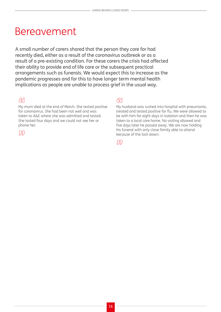### <span id="page-15-0"></span>Bereavement

A small number of carers shared that the person they care for had recently died, either as a result of the coronavirus outbreak or as a result of a pre-existing condition. For these carers the crisis had affected their ability to provide end of life care or the subsequent practical arrangements such as funerals. We would expect this to increase as the pandemic progresses and for this to have longer term mental health implications as people are unable to process grief in the usual way.

#### <sup>"</sup>

My mum died at the end of March. She tested positive for coronavirus. She had been not well and was taken to A&E where she was admitted and tested. She lasted four days and we could not see her or phone her.

 $\mathcal{D}\mathcal{D}$ 

#### <sup>"</sup>

My husband was rushed into hospital with pneumonia, treated and tested positive for flu. We were allowed to be with him for eight days in isolation and then he was taken to a local care home. No visiting allowed and five days later he passed away. We are now holding his funeral with only close family able to attend because of the lock down.

M)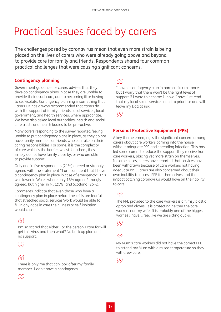## <span id="page-16-0"></span>Practical issues faced by carers

The challenges posed by coronavirus mean that even more strain is being placed on the lives of carers who were already going above and beyond to provide care for family and friends. Respondents shared four common practical challenges that were causing significant concerns.

#### **Contingency planning**

Government guidance for carers advises that they develop contingency plans in case they are unable to provide their usual care, due to becoming ill or having to self-isolate. Contingency planning is something that Carers UK has always recommended that carers do with the support of family, friends, local services, local government, and health services, where appropriate. We have also asked local authorities, health and social care trusts and health bodies to be pro-active.

Many carers responding to the survey reported feeling unable to put contingency plans in place, as they do not have family members or friends who can take on their caring responsibilities. For some, it is the complexity of care which is the barrier, whilst for others, they simply do not have family close by, or who are able to provide support.

Only one in five respondents (21%) agreed or strongly agreed with the statement "I am confident that I have a contingency plan in place in case of emergency". This was lower in Wales where only 16% agreed/strongly agreed, but higher in NI (21%) and Scotland (26%).

Comments indicate that even those who have a contingency plan in place before the crisis are fearful that stretched social services/work would be able to fill in any gaps in care their illness or self-isolation would cause.

#### <sup>M</sup>

I'm so scared that either I or the person I care for will get this virus and then what? No back up plan and no support.

<sup>M</sup>

#### <sup>M</sup>

There is only me that can look after my family member. I don't have a contingency.

DD.

#### RR.

I have a contingency plan in normal circumstances but I worry that there won't be the right level of support if I were to become ill now. I have just read that my local social services need to prioritise and will leave my Dad at risk.

 $\mathcal{D}\mathcal{D}$ 

#### **Personal Protective Equipment (PPE)**

A key theme emerging is the significant concern among carers about care workers coming into the house without adequate PPE and spreading infection. This has led some carers to reduce the support they receive from care workers, placing yet more strain on themselves. In some cases, carers have reported that services have been withdrawn because of care workers not having adequate PPE. Carers are also concerned about their own inability to access PPE for themselves and the impact catching coronavirus would have on their ability to care.

#### <sup>M</sup>

The PPE provided to the care workers is a flimsy plastic apron and gloves. It is protecting neither the care workers nor my wife. It is probably one of the biggest worries I have. I feel like we are sitting ducks.

DD,

### <sup>"</sup>

My Mum's care workers did not have the correct PPE to attend my Mum with a raised temperature so they withdrew care.

<u> DD</u>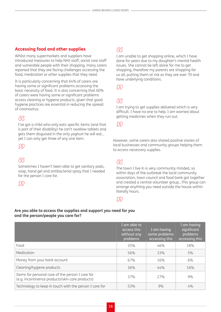#### **Accessing food and other supplies**

Whilst many supermarkets and suppliers have introduced measures to help NHS staff, social care staff and vulnerable people with their shopping, many carers reported that they are facing challenges accessing the food, medication or other supplies that they need.

It is particularly concerning that 64% of carers are having some or significant problems accessing the basic necessity of food. It is also concerning that 60% of carers were having some or significant problems access cleaning or hygiene products, given that good hygiene practices are essential in reducing the spread of coronavirus.

#### RR

I've got a child who only eats specific items (and that is part of their disability) he can't swallow tablets and gets them disguised in the only yoghurt he will eat… yet I can only get three of any one item.

M)

#### <sup>"</sup>

Sometimes I haven't been able to get sanitary pads, soap, hand gel and antibacterial spray that I needed for the person I care for.

DD

### <sup>"</sup>

I am unable to get shopping online, which I have done for years due to my daughter's mental health issues. She cannot be left alone for me to get shopping, therefore my parents are shopping for us all, putting them at risk as they are over 70 and have underlying conditions.

<sup>M</sup>

" I am trying to get supplies delivered which is very difficult. I have no one to help. I am worried about getting medicines when they run out.

#### SD)

However, some carers also shared positive stories of local businesses and community groups helping them to access necessary supplies.

#### RR.

The town I live in is very community minded, so within days of the outbreak the local community association, town council and food bank got together and created a central volunteer group…This group can arrange anything you need outside the house within literally hours.

#### DD,

#### **Are you able to access the supplies and support you need for you and the person/people you care for?**

|                                                                                                     | I am able to<br>access this<br>without any<br>problems | I am having<br>some problems<br>accessing this | I am having<br>significant<br>problems<br>accessing this |
|-----------------------------------------------------------------------------------------------------|--------------------------------------------------------|------------------------------------------------|----------------------------------------------------------|
| Food                                                                                                | 35%                                                    | 46%                                            | 18%                                                      |
| Medication                                                                                          | 56%                                                    | 33%                                            | 5%                                                       |
| Money from your bank account                                                                        | 67%                                                    | 16%                                            | 6%                                                       |
| Cleaning/hygiene products                                                                           | 36%                                                    | 44%                                            | 16%                                                      |
| Items for personal care of the person I care for<br>(e.g. incontinence products/skin care products) | 37%                                                    | 77%                                            | 9%                                                       |
| Technology to keep in touch with the person I care for                                              | 53%                                                    | 9%                                             | 4%                                                       |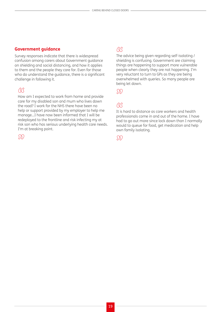#### **Government guidance**

Survey responses indicate that there is widespread confusion among carers about Government guidance on shielding and social distancing, and how it applies to them and the people they care for. Even for those who do understand the guidance, there is a significant challenge in following it.

#### <sup>"</sup>

How am I expected to work from home and provide care for my disabled son and mum who lives down the road? I work for the NHS there have been no help or support provided by my employer to help me manage...I have now been informed that I will be redeployed to the frontline and risk infecting my at risk son who has serious underlying health care needs. I'm at breaking point.

#### $\mathcal{D}\mathcal{D}$

### $\alpha$

The advice being given regarding self-isolating / shielding is confusing. Government are claiming things are happening to support more vulnerable people when clearly they are not happening. I'm very reluctant to turn to GPs as they are being overwhelmed with queries. So many people are being let down.

 $\mathcal{D}\mathcal{D}$ 

### <sup>"</sup>

It is hard to distance as care workers and health professionals come in and out of the home. I have had to go out more since lock down than I normally would to queue for food, get medication and help own family isolating.

#### $\mathcal{D}\mathcal{D}$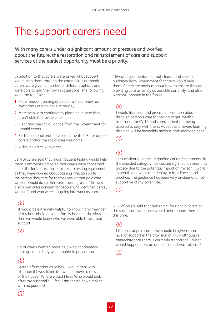## <span id="page-19-0"></span>The support carers need

With many carers under a significant amount of pressure and worried about the future, the restoration and reinstatement of care and support services at the earliest opportunity must be a priority.

In addition to this, carers were asked what support would help them through the coronavirus outbreak. Carers were given a number of different options and were able to add their own suggestions. The following were the top five:

- **1** More frequent testing of people with coronavirus symptoms or who have immunity
- **2** More help with contingency planning in case they aren't able to provide care
- **3** Clear and specific guidance from the Government for unpaid carers
- **4** Better personal protective equipment (PPE) for unpaid carers and/or the social care workforce
- **5** A rise in Carer's Allowance

61% of carers said that more frequent testing would help them. Comments indicated that carers were concerned about the lack of testing, or access to testing equipment, as they were worried about passing infection on to the person they care for themselves, or that paid care workers would do so themselves during visits. This was also a particular concern for people who identified as 'key workers', and who were still going into work as normal.

" It would be extremely helpful to know if any member of my household or wider family had had the virus, then we would know who we were able to visit and support.

<u> SSS</u>

59% of carers wanted more help with contingency planning in case they were unable to provide care.

**GG**<br>Better information as to how I would deal with situation if I was taken ill – would I have to move out of the house? Where would I live? Who would look after my husband? …I feel I am racing down a river with no paddles!

56% of respondents said that clearer and specific guidance from Government for carers would help them. Carers are anxious about how to ensure they are providing care as safely as possible currently, and also what will happen in the future.

### <sup>"</sup>

I would like clear and precise information about disabled person I care for having to get medical treatment for CV 19 and carer/patient not being allowed to stay with them. Autistic and severe learning disabled will be incredibly anxious and unable to cope.

 $\mathcal{S}(\mathcal{S})$ 

### M

Lack of clear guidance regarding caring for someone in the shielded category has caused significant stress and anxiety due to the potential impact on my son. I work in health and want to redeploy to frontline clinical practice. The guidance has been very unclear and not supportive of my carer role.

#### <u> M</u>

51% of carers said that better PPE for unpaid carers or the social care workforce would help support them at this time.

#### <sup>"</sup>

I think as unpaid carers we should be given some level of support in the provision of PPE – although I appreciate that there is currently a shortage – what would happen if, as an unpaid carer, I was taken ill?

 $\binom{5}{2}$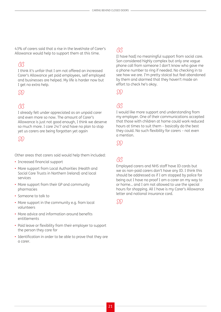43% of carers said that a rise in the level/rate of Carer's Allowance would help to support them at this time.

#### **RR**

I think it's unfair that I am not offered an increased Carer's Allowance yet paid employees, self employed and businesses are helped. My life is harder now but I get no extra help.

#### m

#### <sup>"</sup>

I already felt under appreciated as an unpaid carer and even more so now. The amount of Carer's Allowance is just not good enough, I think we deserve so much more. I care 24/7 and have no plan to stop yet us carers are being forgotten yet again

#### <sup>n</sup>

Other areas that carers said would help them included:

- Increased financial support
- More support from Local Authorities (Health and Social Care Trusts in Northern Ireland) and local services
- More support from their GP and community pharmacies
- Someone to talk to
- More support in the community e.g. from local volunteers
- More advice and information around benefits entitlements
- Paid leave or flexibility from their employer to support the person they care for
- Identification in order to be able to prove that they are a carer.

### <sup>"</sup>

[I have had] no meaningful support from social care. Son considered highly complex but only one vague phone call from someone I don't know who gave me a phone number to ring if needed. No checking in to see how we are. I'm pretty stoical but feel abandoned by them and alarmed that they haven't made an effort to check he's okay.

DD.

### GG

I would like more support and understanding from my employer. One of their communications accepted that those with children at home could work reduced hours at times to suit them – basically do the best they could. No such flexibility for carers – not even a mention.

M)

### RR

Employed carers and NHS staff have ID cards but we as non-paid carers don't have any ID. I think this should be addressed as if I am stopped by police for being out I have no proof I am a carer on my way to or home… and I am not allowed to use the special hours for shopping. All I have is my Carer's Allowance letter and national insurance card.

 $\mathcal{S}(\mathcal{S})$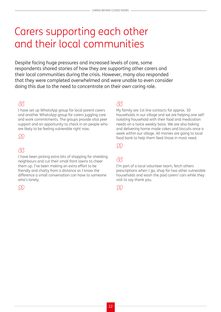### <span id="page-21-0"></span>Carers supporting each other and their local communities

Despite facing huge pressures and increased levels of care, some respondents shared stories of how they are supporting other carers and their local communities during the crisis. However, many also responded that they were completed overwhelmed and were unable to even consider doing this due to the need to concentrate on their own caring role.

#### **RR**

I have set up WhatsApp group for local parent carers and another WhatsApp group for carers juggling care and work commitments. The groups provide vital peer support and an opportunity to check in on people who are likely to be feeling vulnerable right now.

#### SSS

#### <sup>"</sup>

I have been picking extra bits of shopping for shielding neighbours and cut their small front lawns to cheer them up. I've been making an extra effort to be friendly and chatty from a distance as I know the difference a small conversation can have to someone who's lonely.

#### M

#### **RR**

My family are 1st line contacts for approx. 30 households in our village and we are helping one selfisolating household with their food and medication needs on a twice weekly basis. We are also baking and delivering home made cakes and biscuits once a week within our village. All monies are going to local food bank to help them feed those in most need.

#### DD

### <sup>RR</sup>

I'm part of a local volunteer team, fetch others prescriptions when I go, shop for two other vulnerable households and wash the paid carers' cars while they visit to say thank you.

#### DD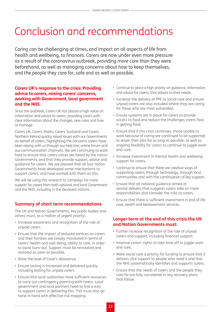## <span id="page-22-0"></span>Conclusion and recommendations

Caring can be challenging at times, and impact on all aspects of life from health and wellbeing, to finances. Carers are now under even more pressure as a result of the coronavirus outbreak, providing more care than they were beforehand, as well as managing concerns about how to keep themselves, and the people they care for, safe and as well as possible.

#### **Carers UK's response to the crisis: Providing advice to carers, raising carers' concerns, working with Government, local government and the NHS.**

Since the outbreak, Carers UK has placed a high value on information and advice to carers, providing carers with clear information about the changes, new rules and how to manage.

Carers UK, Carers Wales, Carers Scotland and Carers Northern Ireland quickly raised issues with our Governments on behalf of carers, highlighting the concerns carers have been raising with us through our help line, online forum and our communication channels. We are continuing to work hard to ensure that carers voices are heard by the nation Governments, and that they provide support, advice and guidance for carers. We are pleased that all four nation Governments have developed some mechanisms to support carers, and have worked with them on this.

We will be using this research to campaign for more support for carers from both national and local Government and the NHS, including in the devolved nations.

#### **Summary of short term recommendations**

The UK and Nation Governments, key public bodies and others must, as a matter of urgent priority:

- Increase awareness and recognition of the role of unpaid carers.
- Ensure that the impact of reduced services on carers and their families are closely monitored in terms of carers' health and well-being, ability to care, in order to avoid burn-out. Support must be reinstated and restored as soon as possible.
- Raise the level of Carer's Allowance.
- Ensure testing is increased and delivered quickly, including testing for unpaid carers.
- Ensure that local authorities have sufficient resources to carry out contingency planning with carers. Local government and local partners need to find a way to support carers in delivering this. This must also go hand in hand with effective risk mapping.
- Continue to place a high priority on guidance, information and advice for carers, that adapts to their needs.
- Increase the delivery of PPE to social care and ensure unpaid carers are also included where they are caring for those who are most vulnerable.
- Ensure systems are in place for carers to provide access to food and reduce the challenges carers face in getting food.
- Ensure that if this crisis continues, those unable to work because of caring are continued to be supported to retain their jobs for as long as possible, as well as ongoing flexibility for carers to continue to juggle work and care.
- Increase investment in mental health and wellbeing support for carers.
- Continue to ensure that there are creative ways of supporting carers, through technology, through local communities and with the continuation of key support.
- Ensure that all national guidance aimed at service delivery that suggests carers take on more responsibilities also consider the risks to carers.
- Ensure that there is sufficient investment in end of life care, death and bereavement services.

#### **Longer term at the end of this crisis the UK and Nation Governments must:**

- Further increase recognition of the role of unpaid carers and support, including financial support.
- Improve carers' rights to take time off to juggle work and care.
- Make social care a priority for funding to ensure that it delivers vital support to people who need it and that the NHS systematically identifies and supports carers.
- Ensure that the needs of carers and the people they care for are fully considered in any recovery plans that follow.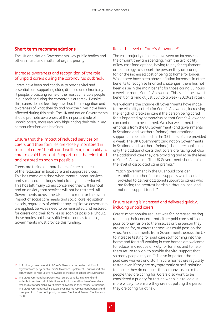#### **Short term recommendations**

The UK and Nation Governments, key public bodies and others must, as a matter of urgent priority:

#### Increase awareness and recognition of the role of unpaid carers during the coronavirus outbreak.

Carers have been and continue to provide vital and essential care supporting older, disabled and chronically ill people, protecting some of the most vulnerable people in our society during the coronavirus outbreak. Despite this, carers do not feel they have had the recognition and awareness of what they do and how their lives have been affected during this crisis. The UK and nation Governments should promote awareness of the important role of unpaid carers, more regularly highlighting their role in key communications and briefings.

#### Ensure that the impact of reduced services on carers and their families are closely monitored in terms of carers' health and wellbeing and ability to care to avoid burn-out. Support must be reinstated and restored as soon as possible.

Carers are taking on more hours of care as a result of the reduction in local care and support services. This has come at a time when many support services and social care packages had already been reduced. This has left many carers concerned they will burnout and an anxiety that services will not be restored. All Governments across the UK need to monitor the overall impact of social care needs and social care legislation closely, regardless of whether any legislative easements are applied. Services need to be reinstated and restored for carers and their families as soon as possible. Should those bodies not have sufficient resources to do so, Governments must provide this funding.

#### 11 In Scotland, carers in receipt of Carer's Allowance are paid an additional payment twice per year of a Carer's Allowance Supplement. This was part of a commitment to raise Carer's Allowance to the level of Jobseeker's Allowance

12 The UK Government has powers over carers benefits in England and Wales but devolved administrations in Scotland and Northern Ireland are responsible for decisions over Carer's Allowance in their respective nations. The UK Government retains powers over income replacement benefits and carer premia in Income Support, Universal Credit and Pension Credit across the UK

#### Raise the level of Carer's Allowance<sup>11</sup>.

The vast majority of carers have seen an increase in the amount they are spending, from the availability of low cost food options, having to pay for equipment or technology to support the person they are caring for, or the increased cost of being at home for longer. While there have been above inflation increases in other benefits to recognise financial challenges, there has not been a rise in the main benefit for those caring 35 hours a week or more, Carer's Allowance. This is still the lowest benefit of its kind at just £67.25 a week (2020/21 rates).

We welcome the change all Governments have made to the eligibility criteria for Carer's Allowance, increasing the length of breaks in care if the person being cared for is impacted by coronavirus so that Carer's Allowance can continue to be claimed. We also welcomed the emphasis from the UK Government (and governments in Scotland and Northern Ireland) that emotional support can be included in the 35 hours of care provided a week. The UK Government (and nation Governments in Scotland and Northern Ireland) should recognise not only the additional costs that carers are facing but also the additional care they are providing and raise the level of Carer's Allowance. The UK Government should raise the level of associated carer premia.<sup>12</sup>

"Each government in the UK should consider establishing other financial supports which could be provided to deliver additional support to carers who are facing the greatest hardship through local and national support funds."

#### Ensure testing is increased and delivered quickly, including unpaid carers.

Carers' most popular request was for increased testing reflecting their concern that either paid care staff could pass coronavirus on to themselves or the person they are caring for, or carers themselves could pass on the virus. Announcements from Governments across the UK to increase testing for paid care staff coming into the home and for staff working in care homes are welcome to reduce risk, reduce anxiety for families and to help them return to work to provide the vital support that so many people rely on. It is also important that all paid care workers and staff in care homes are regularly tested even if they are asymptomatic or self-isolating to ensure they do not pass the coronavirus on to the people they are caring for. Carers also want to be considered a priority for testing when it is rolled out more widely, to ensure they are not putting the person they are caring for at risk.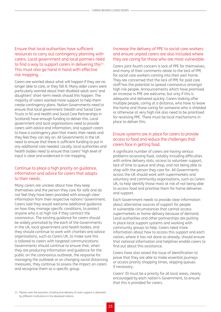Ensure that local authorities have sufficient resources to carry out contingency planning with carers. Local government and local partners need to find a way to support carers in delivering this<sup>13</sup>. This must also go hand in hand with effective risk mapping.

Carers are worried about what will happen if they are no longer able to care, or they fall ill. Many older carers were particularly worried about their disabled adult sons' and daughters' short-term needs should this happen. The majority of carers wanted more support to help them create contingency plans. Nation Governments need to ensure that local government (Health and Social Care Trusts in NI and Health and Social Care Partnerships in Scotland) have enough funding to deliver this. Local government and local organisations need to provide carers with advice and information, and support carers to have a contingency plan that meets their needs and they feel they can rely on. All Governments in the UK need to ensure that there is sufficient funding to put in any additional care needed. Locally, local authorities and health bodies need to ensure that carers' high level of input is clear and evidenced in risk mapping.

#### Continue to place a high priority on guidance, information and advice for carers that adapts to their needs.

Many carers are unclear about how they keep themselves and the person they care for safe and do not feel they have been provided with enough clear information from their respective nations' Government. Carers said they would welcome additional guidance on how they manage specific conditions, to protect anyone who is at high risk if they contract the coronavirus. The existing guidance for carers should be widely promoted by the each of the Governments in the UK, local government and health bodies, and they should continue to work with charities and advice organisations, such as Carers UK, to make sure this is tailored to carers with targeted communications. Governments should continue to ensure that, when they are producing information and guidance for the public on the coronavirus outbreak, the response for managing the outbreak or on changing social distancing measures, they continue to assess the impact on carers and recognise them as a specific group.

#### Increase the delivery of PPE to social care workers and ensure unpaid carers are also included where they are caring for those who are most vulnerable.

Carers joint fourth concern is lack of PPE for themselves, and many of their comments relate to the lack of PPE for social care workers coming into their own home. They are concerned that the lack of PPE for paid care staff has the potential to spread coronavirus amongst high risk people. Announcements which have promised an increase in PPE are welcome, but only if this is adequate and delivered quickly. Carers looking after multiple people, caring at a distance, who have to leave the home and those caring for someone who is shielded or otherwise at very high risk also need to be prioritised for receiving PPE. There must be local mechanisms in place to deliver this.

#### Ensure systems are in place for carers to provide access to food and reduce the challenges that carers face in getting food.

A significant number of carers are having serious problems accessing food, notably including difficulties with online delivery slots, access to volunteer support, lack of time to queue and shop, and not being able to shop with the person they care for. All Governments across the UK should work with supermarkets and voluntary and community organisations, such as Carers UK, to help identify those most at risk of not being able to access food and prioritise them for home deliveries and support.

Each Government needs to provide clear information about alternative sources of support for people in vulnerable circumstances that cannot access supermarkets or home delivery because of demand. Local authorities and other partnerships are putting in place local support systems and working with community groups to help. Carers need more information about how to access this support and each nation, where it has not done so already, should ensure that national information and helplines enable carers to find out about this assistance.

Carers have also raised the issue of identification to prove that they are able to make essential journeys or access priority shopping times, skipping queues if necessary.

Carers' ID must be a priority for all local areas, clearly encouraged by each nation's Government, to ensure that this is provided for carers.

13 Please note the provision, funding and delivery of carer support is delivered by different institutions in the devolved nations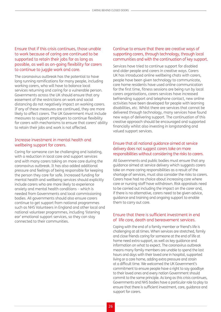#### Ensure that if this crisis continues, those unable to work because of caring are continued to be supported to retain their jobs for as long as possible, as well as on-going flexibility for carers to continue to juggle work and care.

The coronavirus outbreak has the potential to have long running ramifications for many people, including working carers, who will have to balance local services returning and caring for a vulnerable person. Governments across the UK should ensure that any easement of the restrictions on work and social distancing do not negatively impact on working carers. If any of these measures are continued, they are more likely to affect carers. The UK Government must include measures to support employers to continue flexibility for carers with mechanisms to ensure that carers' ability to retain their jobs and work is not affected.

#### Increase investment in mental health and wellbeing support for carers.

Caring for someone can be challenging and isolating, with a reduction in local care and support services and with many carers taking on more care during the coronavirus outbreak. It has also added additional pressure and feelings of being responsible for keeping the person they care for safe. Increased funding for mental health and wellbeing services should explicitly include carers who are more likely to experience anxiety and mental health conditions – which is needed from Governments and local commissioning bodies. All governments should also ensure carers continue to get support from national programmes such as NHS Volunteers in England and other local and national volunteer programmes, including 'listening ear' emotional support services, so they can stay connected to their communities.

#### Continue to ensure that there are creative ways of supporting carers, through technology, through local communities and with the continuation of key support.

Services have tried to continue support for disabled and older people and carers in creative ways. Carers UK has introduced online wellbeing chats with carers, people have been given technology to communicate, care home residents have used online communication for the first time, fitness sessions are being run by local carers organisations, carers services have increased befriending support and telephone contact, new online activities have been developed for people with learning disabilities, etc. Whilst there are services that cannot be delivered through technology, many services have found new ways of delivering support. The continuation of this creative approach should be encouraged and supported financially whilst also investing in longstanding and valued support services.

#### Ensure that all national guidance aimed at service delivery does not suggest carers take on more responsibilities without considering the risks to carers.

All Governments and public bodies must ensure that any guidance aimed at service delivery which suggests carers take on more caring responsibilities as a result of the shortage of services, must also consider the risks to carers. Carers have had no choice about increasing care where care or nursing staff have withdrawn. Risk appraisals need to be carried out including the impact on the carer and, if there is no alternative, carers need to be given advice, guidance and training and ongoing support to enable them to carry out care.

#### Ensure that there is sufficient investment in end of life care, death and bereavement services.

Coping with the end of a family member or friend's life is challenging at all times. When services are stretched, family and close friends caring for someone at the end of life at home need extra support, as well as key guidance and information on what to expect. The coronavirus outbreak means many family members are unable to spend the last hours and days with their loved one in hospital, supported living or a care home, adding extra pressure and strain at a difficult time. We welcomed the UK Government's commitment to ensure people have a right to say goodbye to their loved ones and every nation Government should commit to the same principle. As long as this crisis continues, Governments and NHS bodies have a particular role to play to ensure that there is sufficient investment, care, guidance and support for carers.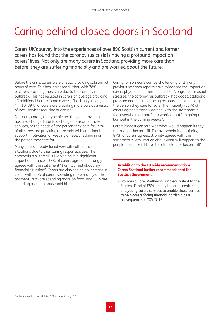## <span id="page-26-0"></span>Caring behind closed doors in Scotland

Carers UK's survey into the experiences of over 890 Scottish current and former carers has found that the coronavirus crisis is having a profound impact on carers' lives. Not only are many carers in Scotland providing more care than before, they are suffering financially and are worried about the future.

Before the crisis, carers were already providing substantial hours of care. This has increased further, with 78% of carers providing more care due to the coronavirus outbreak. This has resulted in carers on average providing 10 additional hours of care a week. Shockingly, nearly 4 in 10 (39%) of carers are providing more care as a result of local services reducing or closing.

For many carers, the type of care they are providing has also changed due to a change in circumstances, services, or the needs of the person they care for. 72% of all carers are providing more help with emotional support, motivation or keeping an eye/checking in on the person they care for.

Many carers already faced very difficult financial situations due to their caring responsibilities. The coronavirus outbreak is likely to have a significant impact on finances, 38% of carers agreed or strongly agreed with the statement "I am worried about my financial situation". Carers are also seeing an increase in costs, with 79% of carers spending more money at the moment. 70% are spending more on food, and 53% are spending more on household bills.

Caring for someone can be challenging and many previous research reports have evidenced the impact on carers physical and mental health<sup>14</sup>. Alongside the usual stresses, the coronavirus outbreak, has added additional pressure and feeling of being responsible for keeping the person they care for safe. The majority (53%) of carers agreed/strongly agreed with the statement "I feel overwhelmed and I am worried that I'm going to burnout in the coming weeks".

Carers biggest concern was what would happen if they themselves become ill. The overwhelming majority, 87%, of carers agreed/strongly agreed with the statement "I am worried about what will happen to the people I care for if I have to self-isolate or become ill".

#### **In addition to the UK wide recommendations, Carers Scotland further recommends that the Scottish Government:**

• Provides a Carer Wellbeing Fund equivalent to the Student Fund of £5M directly to carers centres and young carers services to enable those centres to help carers facing financial hardship as a consequence of COVID-19.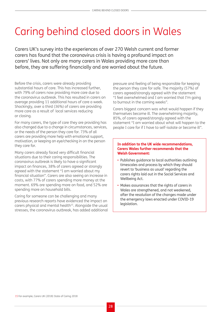## <span id="page-27-0"></span>Caring behind closed doors in Wales

Carers UK's survey into the experiences of over 270 Welsh current and former carers has found that the coronavirus crisis is having a profound impact on carers' lives. Not only are many carers in Wales providing more care than before, they are suffering financially and are worried about the future.

Before the crisis, carers were already providing substantial hours of care. This has increased further, with 79% of carers now providing more care due to the coronavirus outbreak. This has resulted in carers on average providing 11 additional hours of care a week. Shockingly, over a third (36%) of carers are providing more care as a result of local services reducing or closing.

For many carers, the type of care they are providing has also changed due to a change in circumstances, services, or the needs of the person they care for. 73% of all carers are providing more help with emotional support, motivation, or keeping an eye/checking in on the person they care for.

Many carers already faced very difficult financial situations due to their caring responsibilities. The coronavirus outbreak is likely to have a significant impact on finances, 38% of carers agreed or strongly agreed with the statement "I am worried about my financial situation". Carers are also seeing an increase in costs, with 77% of carers spending more money at the moment. 69% are spending more on food, and 52% are spending more on household bills.

Caring for someone can be challenging and many previous research reports have evidenced the impact on carers physical and mental health<sup>15</sup>. Alongside the usual stresses, the coronavirus outbreak, has added additional

pressure and feeling of being responsible for keeping the person they care for safe. The majority (57%) of carers agreed/strongly agreed with the statement "I feel overwhelmed and I am worried that I'm going to burnout in the coming weeks".

Carers biggest concern was what would happen if they themselves become ill. The overwhelming majority, 85%, of carers agreed/strongly agreed with the statement "I am worried about what will happen to the people I care for if I have to self-isolate or become ill".

#### **In addition to the UK wide recommendations, Carers Wales further recommends that the Welsh Government:**

- Publishes guidance to local authorities outlining timescales and process by which they should revert to 'business as usual' regarding the carers rights laid out in the Social Services and Wellbeing Act.
- Makes assurances that the rights of carers in Wales are strengthened, and not weakened, after the resolution of the changes made under the emergency laws enacted under COVID-19 legislation.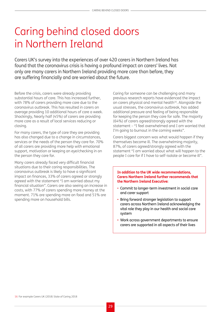## <span id="page-28-0"></span>Caring behind closed doors in Northern Ireland

Carers UK's survey into the experiences of over 420 carers in Northern Ireland has found that the coronavirus crisis is having a profound impact on carers' lives. Not only are many carers in Northern Ireland providing more care than before, they are suffering financially and are worried about the future.

Before the crisis, carers were already providing substantial hours of care. This has increased further, with 78% of carers providing more care due to the coronavirus outbreak. This has resulted in carers on average providing 10 additional hours of care a week. Shockingly, Nearly half (45%) of carers are providing more care as a result of local services reducing or closing.

For many carers, the type of care they are providing has also changed due to a change in circumstances, services or the needs of the person they care for. 70% of all carers are providing more help with emotional support, motivation or keeping an eye/checking in on the person they care for.

Many carers already faced very difficult financial situations due to their caring responsibilities. The coronavirus outbreak is likely to have a significant impact on finances, 33% of carers agreed or strongly agreed with the statement "I am worried about my financial situation". Carers are also seeing an increase in costs, with 77% of carers spending more money at the moment. 71% are spending more on food and 51% are spending more on household bills.

Caring for someone can be challenging and many previous research reports have evidenced the impact on carers physical and mental health<sup>16</sup>. Alongside the usual stresses, the coronavirus outbreak, has added additional pressure and feeling of being responsible for keeping the person they care for safe. The majority (64%) of carers agreed/strongly agreed with the statement – "I feel overwhelmed and I am worried that I'm going to burnout in the coming weeks".

Carers biggest concern was what would happen if they themselves become ill. The overwhelming majority, 87%, of carers agreed/strongly agreed with the statement "I am worried about what will happen to the people I care for if I have to self-isolate or become ill".

#### **In addition to the UK wide recommendations, Carers Northern Ireland further recommends that the Northern Ireland Executive:**

- Commit to longer-term investment in social care and carer support
- Bring forward stronger legislation to support carers across Northern Ireland acknowledging the vital role they play in our health and social care system
- Work across government departments to ensure carers are supported in all aspects of their lives